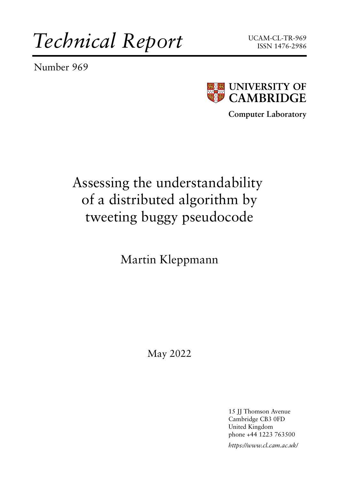*Technical Report*

Number 969





**Computer Laboratory**

# Assessing the understandability of a distributed algorithm by tweeting buggy pseudocode

Martin Kleppmann

May 2022

15 JJ Thomson Avenue Cambridge CB3 0FD United Kingdom phone +44 1223 763500 *https://www.cl.cam.ac.uk/*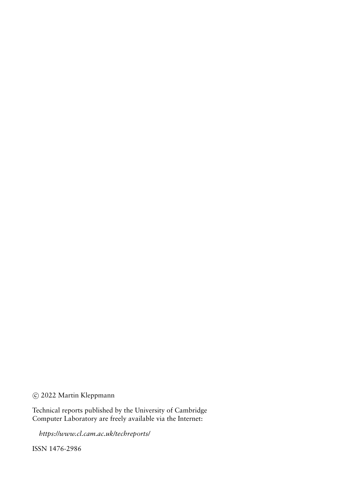### c 2022 Martin Kleppmann

Technical reports published by the University of Cambridge Computer Laboratory are freely available via the Internet:

*https://www.cl.cam.ac.uk/techreports/*

ISSN 1476-2986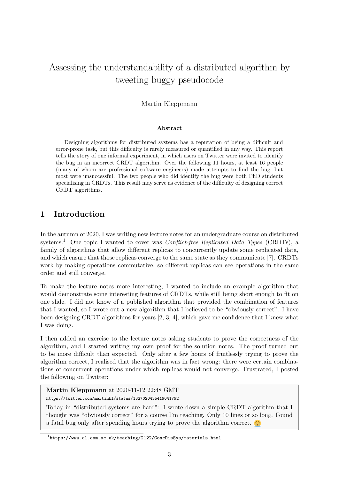## Assessing the understandability of a distributed algorithm by tweeting buggy pseudocode

#### Martin Kleppmann

#### Abstract

Designing algorithms for distributed systems has a reputation of being a difficult and error-prone task, but this difficulty is rarely measured or quantified in any way. This report tells the story of one informal experiment, in which users on Twitter were invited to identify the bug in an incorrect CRDT algorithm. Over the following 11 hours, at least 16 people (many of whom are professional software engineers) made attempts to find the bug, but most were unsuccessful. The two people who did identify the bug were both PhD students specialising in CRDTs. This result may serve as evidence of the difficulty of designing correct CRDT algorithms.

#### 1 Introduction

In the autumn of 2020, I was writing new lecture notes for an undergraduate course on distributed systems.<sup>[1](#page-2-0)</sup> One topic I wanted to cover was *Conflict-free Replicated Data Types* (CRDTs), a family of algorithms that allow different replicas to concurrently update some replicated data, and which ensure that those replicas converge to the same state as they communicate [\[7\]](#page-14-0). CRDTs work by making operations commutative, so different replicas can see operations in the same order and still converge.

To make the lecture notes more interesting, I wanted to include an example algorithm that would demonstrate some interesting features of CRDTs, while still being short enough to fit on one slide. I did not know of a published algorithm that provided the combination of features that I wanted, so I wrote out a new algorithm that I believed to be "obviously correct". I have been designing CRDT algorithms for years [\[2,](#page-14-1) [3,](#page-14-2) [4\]](#page-14-3), which gave me confidence that I knew what I was doing.

I then added an exercise to the lecture notes asking students to prove the correctness of the algorithm, and I started writing my own proof for the solution notes. The proof turned out to be more difficult than expected. Only after a few hours of fruitlessly trying to prove the algorithm correct, I realised that the algorithm was in fact wrong: there were certain combinations of concurrent operations under which replicas would not converge. Frustrated, I posted the following on Twitter:

#### Martin Kleppmann at 2020-11-12 22:48 GMT

<https://twitter.com/martinkl/status/1327020435419041792>

Today in "distributed systems are hard": I wrote down a simple CRDT algorithm that I thought was "obviously correct" for a course I'm teaching. Only 10 lines or so long. Found a fatal bug only after spending hours trying to prove the algorithm correct.

<span id="page-2-0"></span><sup>1</sup> <https://www.cl.cam.ac.uk/teaching/2122/ConcDisSys/materials.html>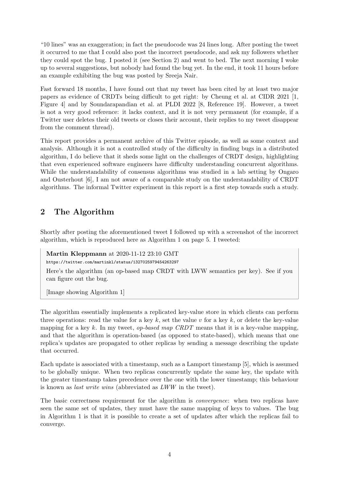"10 lines" was an exaggeration; in fact the pseudocode was 24 lines long. After posting the tweet it occurred to me that I could also post the incorrect pseudocode, and ask my followers whether they could spot the bug. I posted it (see [Section 2\)](#page-3-0) and went to bed. The next morning I woke up to several suggestions, but nobody had found the bug yet. In the end, it took 11 hours before an example exhibiting the bug was posted by Sreeja Nair.

Fast forward 18 months, I have found out that my tweet has been cited by at least two major papers as evidence of CRDTs being difficult to get right: by Cheung et al. at CIDR 2021 [\[1,](#page-14-4) Figure 4] and by Soundarapandian et al. at PLDI 2022 [\[8,](#page-14-5) Reference 19]. However, a tweet is not a very good reference: it lacks context, and it is not very permanent (for example, if a Twitter user deletes their old tweets or closes their account, their replies to my tweet disappear from the comment thread).

This report provides a permanent archive of this Twitter episode, as well as some context and analysis. Although it is not a controlled study of the difficulty in finding bugs in a distributed algorithm, I do believe that it sheds some light on the challenges of CRDT design, highlighting that even experienced software engineers have difficulty understanding concurrent algorithms. While the understandability of consensus algorithms was studied in a lab setting by Ongaro and Ousterhout [\[6\]](#page-14-6), I am not aware of a comparable study on the understandability of CRDT algorithms. The informal Twitter experiment in this report is a first step towards such a study.

## <span id="page-3-0"></span>2 The Algorithm

Shortly after posting the aforementioned tweet I followed up with a screenshot of the incorrect algorithm, which is reproduced here as [Algorithm 1](#page-4-0) on [page 5.](#page-4-0) I tweeted:

Martin Kleppmann at 2020-11-12 23:10 GMT

<https://twitter.com/martinkl/status/1327025979454263297>

Here's the algorithm (an op-based map CRDT with LWW semantics per key). See if you can figure out the bug.

[Image showing [Algorithm 1\]](#page-4-0)

The algorithm essentially implements a replicated key-value store in which clients can perform three operations: read the value for a key k, set the value v for a key k, or delete the key-value mapping for a key k. In my tweet, *op-based map CRDT* means that it is a key-value mapping, and that the algorithm is operation-based (as opposed to state-based), which means that one replica's updates are propagated to other replicas by sending a message describing the update that occurred.

Each update is associated with a timestamp, such as a Lamport timestamp [\[5\]](#page-14-7), which is assumed to be globally unique. When two replicas concurrently update the same key, the update with the greater timestamp takes precedence over the one with the lower timestamp; this behaviour is known as last write wins (abbreviated as LWW in the tweet).

The basic correctness requirement for the algorithm is convergence: when two replicas have seen the same set of updates, they must have the same mapping of keys to values. The bug in [Algorithm 1](#page-4-0) is that it is possible to create a set of updates after which the replicas fail to converge.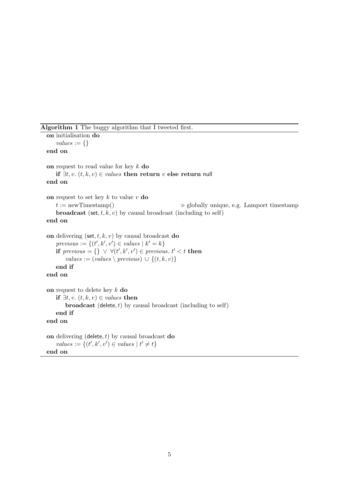Algorithm 1 The buggy algorithm that I tweeted first.

<span id="page-4-0"></span>on initialisation do  $values := \{\}$ end on on request to read value for key  $k$  do if  $\exists t, v$ .  $(t, k, v) \in values$  then return v else return null end on on request to set key  $k$  to value  $v$  do  $t := newTimestamp()$   $\triangleright$  globally unique, e.g. Lamport timestamp **broadcast** (set, t, k, v) by causal broadcast (including to self) end on on delivering (set,  $t, k, v$ ) by causal broadcast do  $previous := \{(t', k', v') \in values \mid k' = k\}$ if previous = {}  $\vee \forall (t', k', v') \in previous. t' < t$  then values :=  $(values \setminus previous) \cup \{(t, k, v)\}$ end if end on on request to delete key  $k$  do if  $\exists t, v. (t, k, v) \in values$  then **broadcast** (delete,  $t$ ) by causal broadcast (including to self) end if end on on delivering (delete,  $t$ ) by causal broadcast do values :=  $\{(t', k', v') \in values \mid t' \neq t\}$ 

end on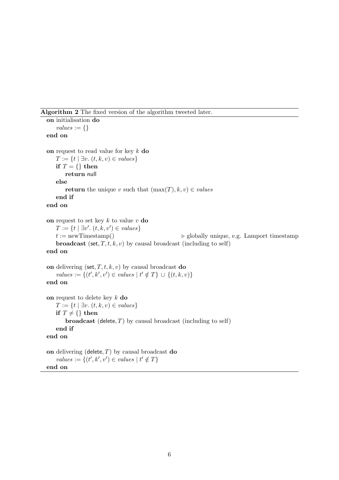Algorithm 2 The fixed version of the algorithm tweeted later.

```
on initialisation do
   values := \{\}end on
on request to read value for key k do
   T := \{t \mid \exists v. (t, k, v) \in values\}if T = \{\} then
       return null
   else
       return the unique v such that (\max(T), k, v) \in valuesend if
end on
on request to set key k to value v do
    T := \{t \mid \exists v'. (t, k, v') \in values\}t := newTimestamp() \triangleright globally unique, e.g. Lamport timestamp
   broadcast (set, T, t, k, v) by causal broadcast (including to self)
end on
on delivering (set, T, t, k, v) by causal broadcast do
    values := \{(t', k', v') \in values \mid t' \notin T\} \cup \{(t, k, v)\}\end on
on request to delete key k do
   T := \{t \mid \exists v. (t, k, v) \in values\}if T \neq \{\} then
       broadcast (delete, T) by causal broadcast (including to self)
   end if
end on
on delivering (delete, T) by causal broadcast do
    values := \{(t', k', v') \in values \mid t' \notin T\}
```

```
end on
```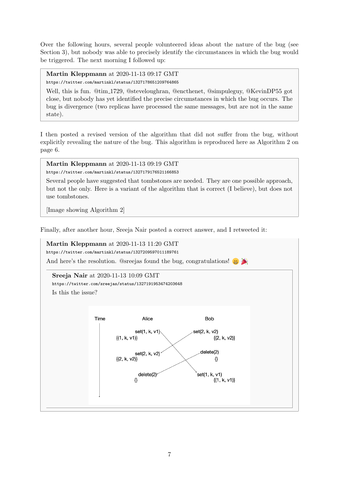Over the following hours, several people volunteered ideas about the nature of the bug (see [Section 3\)](#page-7-0), but nobody was able to precisely identify the circumstances in which the bug would be triggered. The next morning I followed up:

Martin Kleppmann at 2020-11-13 09:17 GMT

<https://twitter.com/martinkl/status/1327178651209764865>

Well, this is fun.  $@tim_1729$ ,  $@stevelopram$ ,  $@enchenet$ ,  $@simpuleguv$ ,  $@KevinDP55$  got close, but nobody has yet identified the precise circumstances in which the bug occurs. The bug is divergence (two replicas have processed the same messages, but are not in the same state).

I then posted a revised version of the algorithm that did not suffer from the bug, without explicitly revealing the nature of the bug. This algorithm is reproduced here as [Algorithm 2](#page-5-0) on [page 6.](#page-5-0)

```
Martin Kleppmann at 2020-11-13 09:19 GMT
https://twitter.com/martinkl/status/1327179176521166853
```
Several people have suggested that tombstones are needed. They are one possible approach, but not the only. Here is a variant of the algorithm that is correct (I believe), but does not

[Image showing [Algorithm 2\]](#page-5-0)

use tombstones.

Finally, after another hour, Sreeja Nair posted a correct answer, and I retweeted it:

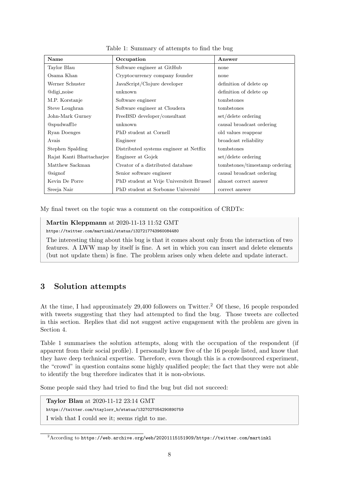<span id="page-7-2"></span>

| Name                      | Occupation                                | Answer                        |
|---------------------------|-------------------------------------------|-------------------------------|
| Taylor Blau               | Software engineer at GitHub               | none                          |
| Osama Khan                | Cryptocurrency company founder            | none                          |
| Werner Schuster           | JavaScript/Clojure developer              | definition of delete op       |
| @digi_noise               | unknown                                   | definition of delete op       |
| M.P. Korstanje            | Software engineer                         | tombstones                    |
| Steve Loughran            | Software engineer at Cloudera             | tombstones                    |
| John-Mark Gurney          | FreeBSD developer/consultant              | set/delete ordering           |
| @spudwaff1e               | unknown                                   | causal broadcast ordering     |
| Ryan Doenges              | PhD student at Cornell                    | old values reappear           |
| Avais                     | Engineer                                  | broadcast reliability         |
| Stephen Spalding          | Distributed systems engineer at Netflix   | tombstones                    |
| Rajat Kanti Bhattacharjee | Engineer at Gojek                         | set/delete ordering           |
| Matthew Sackman           | Creator of a distributed database         | tombstones/timestamp ordering |
| <b>Q</b> signof           | Senior software engineer                  | causal broadcast ordering     |
| Kevin De Porre            | PhD student at Vrije Universiteit Brussel | almost correct answer         |
| Sreeja Nair               | PhD student at Sorbonne Université        | correct answer                |

Table 1: Summary of attempts to find the bug

My final tweet on the topic was a comment on the composition of CRDTs:

Martin Kleppmann at 2020-11-13 11:52 GMT

<https://twitter.com/martinkl/status/1327217743960084480>

The interesting thing about this bug is that it comes about only from the interaction of two features. A LWW map by itself is fine. A set in which you can insert and delete elements (but not update them) is fine. The problem arises only when delete and update interact.

#### <span id="page-7-0"></span>3 Solution attempts

At the time, I had approximately [2](#page-7-1)9,400 followers on Twitter.<sup>2</sup> Of these, 16 people responded with tweets suggesting that they had attempted to find the bug. Those tweets are collected in this section. Replies that did not suggest active engagement with the problem are given in [Section 4.](#page-12-0)

[Table 1](#page-7-2) summarises the solution attempts, along with the occupation of the respondent (if apparent from their social profile). I personally know five of the 16 people listed, and know that they have deep technical expertise. Therefore, even though this is a crowdsourced experiment, the "crowd" in question contains some highly qualified people; the fact that they were not able to identify the bug therefore indicates that it is non-obvious.

Some people said they had tried to find the bug but did not succeed:

Taylor Blau at 2020-11-12 23:14 GMT [https://twitter.com/ttaylorr\\_b/status/1327027054290890759](https://twitter.com/ttaylorr_b/status/1327027054290890759) I wish that I could see it; seems right to me.

<span id="page-7-1"></span><sup>2</sup>According to <https://web.archive.org/web/20201115151909/https://twitter.com/martinkl>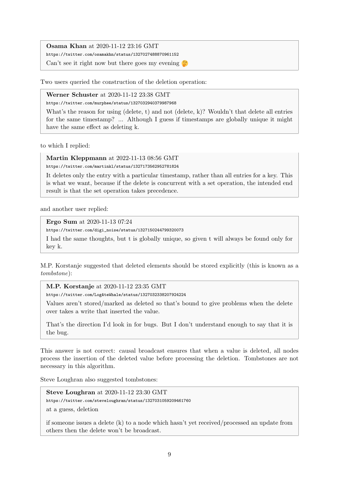Osama Khan at 2020-11-12 23:16 GMT <https://twitter.com/osamakhn/status/1327027488870961152>

Can't see it right now but there goes my evening  $\mathbb{C}$ 

Two users queried the construction of the deletion operation:

Werner Schuster at 2020-11-12 23:38 GMT

<https://twitter.com/murphee/status/1327032940379987968>

What's the reason for using (delete, t) and not (delete, k)? Wouldn't that delete all entries for the same timestamp? ... Although I guess if timestamps are globally unique it might have the same effect as deleting k.

to which I replied:

Martin Kleppmann at 2022-11-13 08:56 GMT

<https://twitter.com/martinkl/status/1327173562952781824>

It deletes only the entry with a particular timestamp, rather than all entries for a key. This is what we want, because if the delete is concurrent with a set operation, the intended end result is that the set operation takes precedence.

and another user replied:

Ergo Sum at 2020-11-13 07:24

[https://twitter.com/digi\\_noise/status/1327150244799320073](https://twitter.com/digi_noise/status/1327150244799320073)

I had the same thoughts, but t is globally unique, so given t will always be found only for key k.

M.P. Korstanje suggested that deleted elements should be stored explicitly (this is known as a tombstone):

M.P. Korstanje at 2020-11-12 23:35 GMT

<https://twitter.com/LogAteWhale/status/1327032338207924224>

Values aren't stored/marked as deleted so that's bound to give problems when the delete over takes a write that inserted the value.

That's the direction I'd look in for bugs. But I don't understand enough to say that it is the bug.

This answer is not correct: causal broadcast ensures that when a value is deleted, all nodes process the insertion of the deleted value before processing the deletion. Tombstones are not necessary in this algorithm.

Steve Loughran also suggested tombstones:

Steve Loughran at 2020-11-12 23:30 GMT <https://twitter.com/steveloughran/status/1327031059209461760>

at a guess, deletion

if someone issues a delete (k) to a node which hasn't yet received/processed an update from others then the delete won't be broadcast.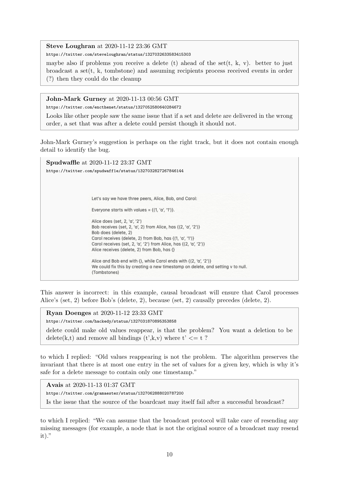Steve Loughran at 2020-11-12 23:36 GMT

<https://twitter.com/steveloughran/status/1327032633583415303>

maybe also if problems you receive a delete (t) ahead of the set  $(t, k, v)$ . better to just broadcast a set(t, k, tombstone) and assuming recipients process received events in order (?) then they could do the cleanup

John-Mark Gurney at 2020-11-13 00:56 GMT

<https://twitter.com/encthenet/status/1327052580640284672>

Looks like other people saw the same issue that if a set and delete are delivered in the wrong order, a set that was after a delete could persist though it should not.

John-Mark Gurney's suggestion is perhaps on the right track, but it does not contain enough detail to identify the bug.

Spudwaffle at 2020-11-12 23:37 GMT <https://twitter.com/spudwaff1e/status/1327032827267846144> Let's say we have three peers, Alice, Bob, and Carol: Everyone starts with values =  $\{(1, 'a', '1')\}$ . Alice does (set, 2, 'a', '2') Bob receives (set, 2, 'a', 2) from Alice, has {(2, 'a', '2')} Bob does (delete, 2) Carol receives (delete, 2) from Bob, has {(1, 'a', '1')} Carol receives (set, 2, 'a', '2') from Alice, has {(2, 'a', '2')} Alice receives (delete, 2) from Bob, has {} Alice and Bob end with {}, while Carol ends with {(2, 'a', '2')} We could fix this by creating a new timestamp on delete, and setting v to null. (Tombstones)

This answer is incorrect: in this example, causal broadcast will ensure that Carol processes Alice's (set, 2) before Bob's (delete, 2), because (set, 2) causally precedes (delete, 2).

Ryan Doenges at 2020-11-12 23:33 GMT

<https://twitter.com/hackedy/status/1327031870895353858>

delete could make old values reappear, is that the problem? You want a deletion to be delete(k,t) and remove all bindings (t',k,v) where  $t' \leq t$  ?

to which I replied: "Old values reappearing is not the problem. The algorithm preserves the invariant that there is at most one entry in the set of values for a given key, which is why it's safe for a delete message to contain only one timestamp."

Avais at 2020-11-13 01:37 GMT

<https://twitter.com/gramaester/status/1327062888020787200>

Is the issue that the source of the boardcast may itself fail after a successful broadcast?

to which I replied: "We can assume that the broadcast protocol will take care of resending any missing messages (for example, a node that is not the original source of a broadcast may resend  $it)$ ."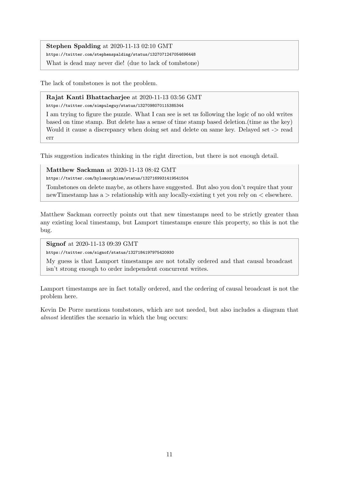Stephen Spalding at 2020-11-13 02:10 GMT

<https://twitter.com/stephenspalding/status/1327071247054696448>

What is dead may never die! (due to lack of tombstone)

The lack of tombstones is not the problem.

Rajat Kanti Bhattacharjee at 2020-11-13 03:56 GMT <https://twitter.com/simpuleguy/status/1327098070115385344>

I am trying to figure the puzzle. What I can see is set us following the logic of no old writes based on time stamp. But delete has a sense of time stamp based deletion.(time as the key) Would it cause a discrepancy when doing set and delete on same key. Delayed set -> read err

This suggestion indicates thinking in the right direction, but there is not enough detail.

#### Matthew Sackman at 2020-11-13 08:42 GMT

<https://twitter.com/hylomorphism/status/1327169931419541504>

Tombstones on delete maybe, as others have suggested. But also you don't require that your newTimestamp has a > relationship with any locally-existing t yet you rely on < elsewhere.

Matthew Sackman correctly points out that new timestamps need to be strictly greater than any existing local timestamp, but Lamport timestamps ensure this property, so this is not the bug.

Signof at 2020-11-13 09:39 GMT

<https://twitter.com/signof/status/1327184197975420930>

My guess is that Lamport timestamps are not totally ordered and that causal broadcast isn't strong enough to order independent concurrent writes.

Lamport timestamps are in fact totally ordered, and the ordering of causal broadcast is not the problem here.

Kevin De Porre mentions tombstones, which are not needed, but also includes a diagram that almost identifies the scenario in which the bug occurs: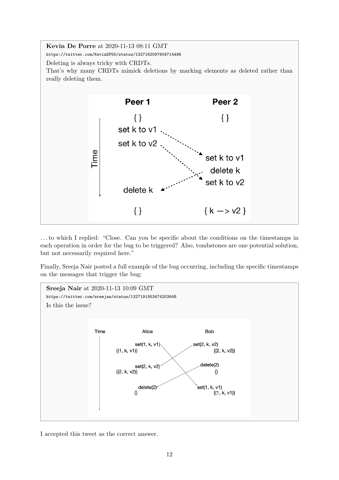

. . . to which I replied: "Close. Can you be specific about the conditions on the timestamps in each operation in order for the bug to be triggered? Also, tombstones are one potential solution, but not necessarily required here."

Finally, Sreeja Nair posted a full example of the bug occurring, including the specific timestamps on the messages that trigger the bug:



I accepted this tweet as the correct answer.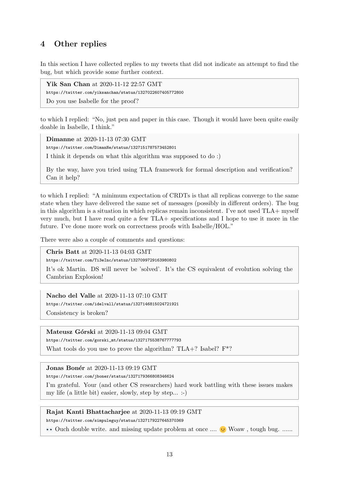## <span id="page-12-0"></span>4 Other replies

In this section I have collected replies to my tweets that did not indicate an attempt to find the bug, but which provide some further context.

Yik San Chan at 2020-11-12 22:57 GMT <https://twitter.com/yiksanchan/status/1327022607405772800> Do you use Isabelle for the proof?

to which I replied: "No, just pen and paper in this case. Though it would have been quite easily doable in Isabelle, I think."

Dimanne at 2020-11-13 07:30 GMT

<https://twitter.com/DimanNe/status/1327151787573452801>

I think it depends on what this algorithm was supposed to do :)

By the way, have you tried using TLA framework for formal description and verification? Can it help?

to which I replied: "A minimum expectation of CRDTs is that all replicas converge to the same state when they have delivered the same set of messages (possibly in different orders). The bug in this algorithm is a situation in which replicas remain inconsistent. I've not used TLA+ myself very much, but I have read quite a few TLA+ specifications and I hope to use it more in the future. I've done more work on correctness proofs with Isabelle/HOL."

There were also a couple of comments and questions:

Chris Batt at 2020-11-13 04:03 GMT

<https://twitter.com/Ti3eInc/status/1327099729163980802>

It's ok Martin. DS will never be 'solved'. It's the CS equivalent of evolution solving the Cambrian Explosion!

Nacho del Valle at 2020-11-13 07:10 GMT

<https://twitter.com/idelvall/status/1327146815024721921>

Consistency is broken?

Mateusz Górski at 2020-11-13 09:04 GMT

[https://twitter.com/gorski\\_mt/status/1327175538767777793](https://twitter.com/gorski_mt/status/1327175538767777793)

What tools do you use to prove the algorithm?  $TLA+$ ? Isabel?  $F^*$ ?

**Jonas Bonér** at 2020-11-13 09:19 GMT

<https://twitter.com/jboner/status/1327179366808346624>

I'm grateful. Your (and other CS researchers) hard work battling with these issues makes my life (a little bit) easier, slowly, step by step... :-)

#### Rajat Kanti Bhattacharjee at 2020-11-13 09:19 GMT

<https://twitter.com/simpuleguy/status/1327179227645370369>

 $\bullet\bullet$  Ouch double write. and missing update problem at once ....  $\bullet\bullet$  Woaw, tough bug. .....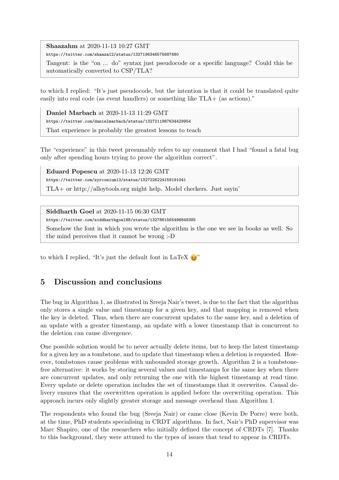Shaazahm at 2020-11-13 10:27 GMT

<https://twitter.com/shaaza12/status/1327196346575687680>

Tangent: is the "on ... do" syntax just pseudocode or a specific language? Could this be automatically converted to CSP/TLA?

to which I replied: "It's just pseudocode, but the intention is that it could be translated quite easily into real code (as event handlers) or something like TLA+ (as actions)."

Daniel Marbach at 2020-11-13 11:29 GMT <https://twitter.com/danielmarbach/status/1327211987634429954> That experience is probably the greatest lessons to teach

The "experience" in this tweet presumably refers to my comment that I had "found a fatal bug only after spending hours trying to prove the algorithm correct".

Eduard Popescu at 2020-11-13 12:26 GMT <https://twitter.com/zyrconium13/status/1327226224159191041> TLA+ or http://alloytools.org might help. Model checkers. Just sayin'

Siddharth Goel at 2020-11-15 06:30 GMT

<https://twitter.com/siddharthgoel88/status/1327861565496848385>

Somehow the font in which you wrote the algorithm is the one we see in books as well. So the mind perceives that it cannot be wrong :-D

to which I replied, "It's just the default font in LaTeX  $\geq$ "

## 5 Discussion and conclusions

The bug in [Algorithm 1,](#page-4-0) as illustrated in Sreeja Nair's tweet, is due to the fact that the algorithm only stores a single value and timestamp for a given key, and that mapping is removed when the key is deleted. Thus, when there are concurrent updates to the same key, and a deletion of an update with a greater timestamp, an update with a lower timestamp that is concurrent to the deletion can cause divergence.

One possible solution would be to never actually delete items, but to keep the latest timestamp for a given key as a tombstone, and to update that timestamp when a deletion is requested. However, tombstones cause problems with unbounded storage growth. [Algorithm 2](#page-5-0) is a tombstonefree alternative: it works by storing several values and timestamps for the same key when there are concurrent updates, and only returning the one with the highest timestamp at read time. Every update or delete operation includes the set of timestamps that it overwrites. Causal delivery ensures that the overwritten operation is applied before the overwriting operation. This approach incurs only slightly greater storage and message overhead than [Algorithm 1.](#page-4-0)

The respondents who found the bug (Sreeja Nair) or came close (Kevin De Porre) were both, at the time, PhD students specialising in CRDT algorithms. In fact, Nair's PhD supervisor was Marc Shapiro, one of the researchers who initially defined the concept of CRDTs [\[7\]](#page-14-0). Thanks to this background, they were attuned to the types of issues that tend to appear in CRDTs.